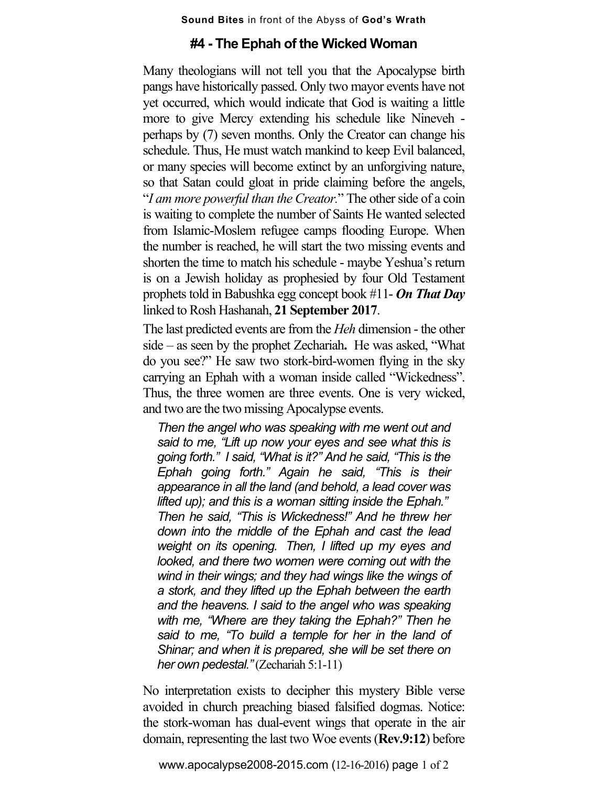## **Sound Bites** in front of the Abyss of **God's Wrath**

## **#4 - The Ephah of the Wicked Woman**

Many theologians will not tell you that the Apocalypse birth pangs have historically passed. Only two mayor events have not yet occurred, which would indicate that God is waiting a little more to give Mercy extending his schedule like Nineveh perhaps by (7) seven months. Only the Creator can change his schedule. Thus, He must watch mankind to keep Evil balanced, or many species will become extinct by an unforgiving nature, so that Satan could gloat in pride claiming before the angels, "*I am more powerful than the Creator.*" The other side of a coin is waiting to complete the number of Saints He wanted selected from Islamic-Moslem refugee camps flooding Europe. When the number is reached, he will start the two missing events and shorten the time to match his schedule - maybe Yeshua's return is on a Jewish holiday as prophesied by four Old Testament prophets told in Babushka egg concept book #11- **On That Day** linked to Rosh Hashanah, **21 September 2017**.

The last predicted events are from the *Heh* dimension - the other side – as seen by the prophet Zechariah**.** He was asked, "What do you see?" He saw two stork-bird-women flying in the sky carrying an Ephah with a woman inside called "Wickedness". Thus, the three women are three events. One is very wicked, and two are the two missing Apocalypse events.

*Then the angel who was speaking with me went out and said to me, "Lift up now your eyes and see what this is going forth." I said, "What is it?" And he said, "This is the Ephah going forth." Again he said, "This is their appearance in all the land (and behold, a lead cover was lifted up); and this is a woman sitting inside the Ephah." Then he said, "This is Wickedness!" And he threw her down into the middle of the Ephah and cast the lead weight on its opening. Then, I lifted up my eyes and looked, and there two women were coming out with the wind in their wings; and they had wings like the wings of a stork, and they lifted up the Ephah between the earth and the heavens. I said to the angel who was speaking with me, "Where are they taking the Ephah?" Then he said to me, "To build a temple for her in the land of Shinar; and when it is prepared, she will be set there on her own pedestal."*(Zechariah 5:1-11)

No interpretation exists to decipher this mystery Bible verse avoided in church preaching biased falsified dogmas. Notice: the stork-woman has dual-event wings that operate in the air domain, representing the last two Woe events (**Rev.9:12**) before